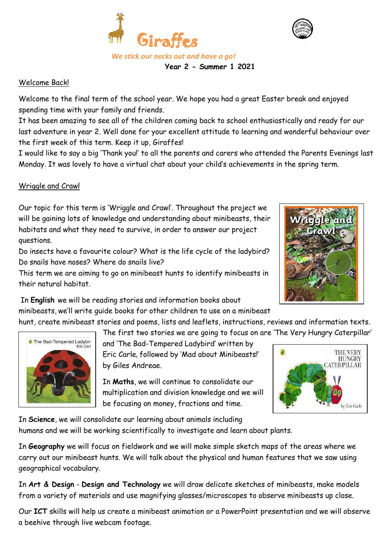



## Welcome Back!

Welcome to the final term of the school year. We hope you had a great Easter break and enjoyed spending time with your family and friends.

It has been amazing to see all of the children coming back to school enthusiastically and ready for our last adventure in year 2. Well done for your excellent attitude to learning and wonderful behaviour over the first week of this term. Keep it up, Giraffes!

 **Year 2 - Summer 1 2021**

I would like to say a big 'Thank you!' to all the parents and carers who attended the Parents Evenings last Monday. It was lovely to have a virtual chat about your child's achievements in the spring term.

# Wriggle and Crawl

Our topic for this term is 'Wriggle and Crawl'. Throughout the project we will be gaining lots of knowledge and understanding about minibeasts, their habitats and what they need to survive, in order to answer our project questions.

Do insects have a favourite colour? What is the life cycle of the ladybird? Do snails have noses? Where do snails live?

This term we are aiming to go on minibeast hunts to identify minibeasts in their natural habitat.

In **English** we will be reading stories and information books about minibeasts, we'll write guide books for other children to use on a minibeast

hunt, create minibeast stories and poems, lists and leaflets, instructions, reviews and information texts. The first two stories we are going to focus on are 'The Very Hungry Caterpillar'



and 'The Bad-Tempered Ladybird' written by

Eric Carle, followed by 'Mad about Minibeasts!' by Giles Andreae.

In **Maths**, we will continue to consolidate our multiplication and division knowledge and we will be focusing on money, fractions and time.



In **Science**, we will consolidate our learning about animals including humans and we will be working scientifically to investigate and learn about plants.

In **Geography** we will focus on fieldwork and we will make simple sketch maps of the areas where we carry out our minibeast hunts. We will talk about the physical and human features that we saw using geographical vocabulary.

In **Art & Design** - **Design and Technology** we will draw delicate sketches of minibeasts, make models from a variety of materials and use magnifying glasses/microscopes to observe minibeasts up close.

Our **ICT** skills will help us create a minibeast animation or a PowerPoint presentation and we will observe a beehive through live webcam footage.